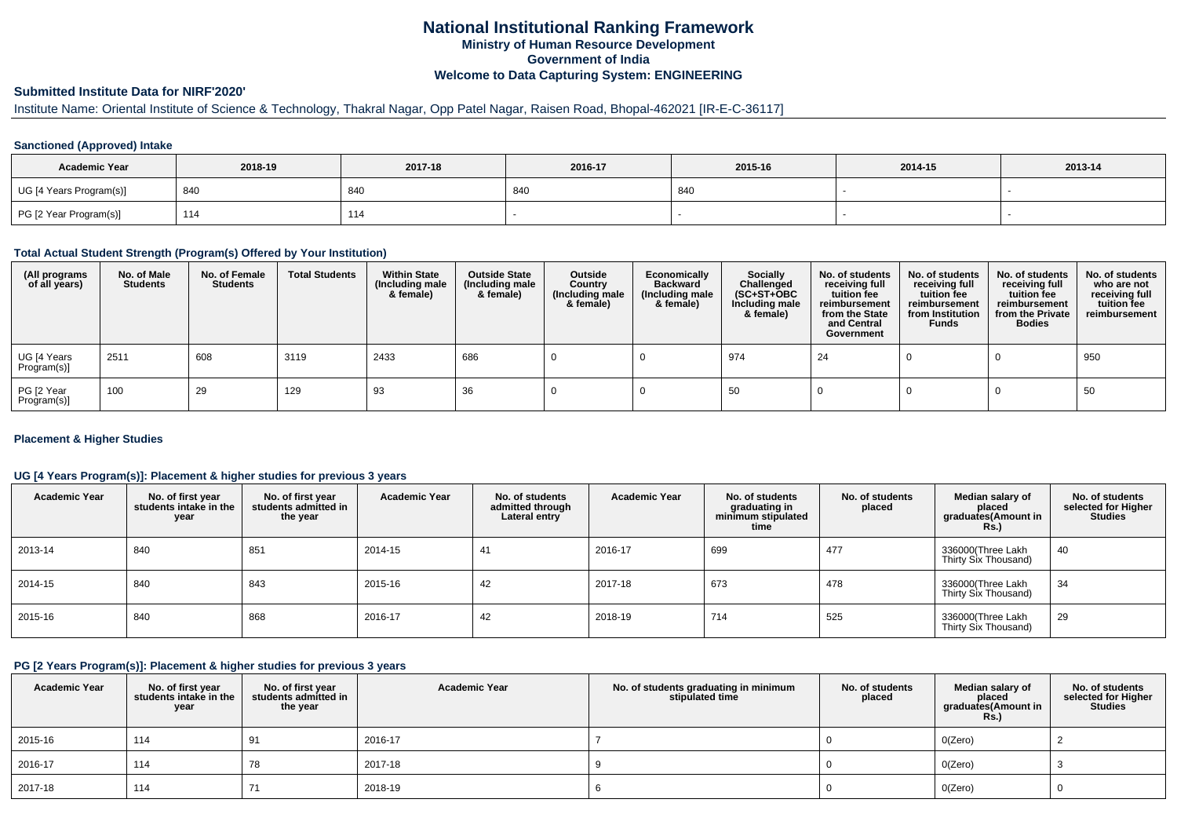# **National Institutional Ranking FrameworkMinistry of Human Resource DevelopmentGovernment of IndiaWelcome to Data Capturing System: ENGINEERING**

# **Submitted Institute Data for NIRF'2020'**

# Institute Name: Oriental Institute of Science & Technology, Thakral Nagar, Opp Patel Nagar, Raisen Road, Bhopal-462021 [IR-E-C-36117]

### **Sanctioned (Approved) Intake**

| <b>Academic Year</b>    | 2018-19 | 2017-18 | 2016-17 | 2015-16 | 2014-15 | 2013-14 |
|-------------------------|---------|---------|---------|---------|---------|---------|
| UG [4 Years Program(s)] | 840     | 840     | 840     | 840     |         |         |
| PG [2 Year Program(s)]  | 114     | 114     |         |         |         |         |

#### **Total Actual Student Strength (Program(s) Offered by Your Institution)**

| (All programs<br>of all years) | No. of Male<br><b>Students</b> | No. of Female<br>Students | <b>Total Students</b> | <b>Within State</b><br>(Including male<br>& female) | <b>Outside State</b><br>(Including male<br>& female) | Outside<br>Country<br>(Including male<br>& female) | Economically<br><b>Backward</b><br>(Including male<br>& female) | <b>Socially</b><br>Challenged<br>$(SC+ST+OBC)$<br>Including male<br>& female) | No. of students<br>receiving full<br>tuition fee<br>reimbursement<br>from the State<br>and Central<br>Government | No. of students<br>receiving full<br>tuition fee<br>reimbursement<br>from Institution<br><b>Funds</b> | No. of students<br>receiving full<br>tuition fee<br>reimbursement<br>from the Private<br><b>Bodies</b> | No. of students<br>who are not<br>receiving full<br>tuition fee<br>reimbursement |
|--------------------------------|--------------------------------|---------------------------|-----------------------|-----------------------------------------------------|------------------------------------------------------|----------------------------------------------------|-----------------------------------------------------------------|-------------------------------------------------------------------------------|------------------------------------------------------------------------------------------------------------------|-------------------------------------------------------------------------------------------------------|--------------------------------------------------------------------------------------------------------|----------------------------------------------------------------------------------|
| UG [4 Years<br>Program(s)]     | 2511                           | 608                       | 3119                  | 2433                                                | 686                                                  |                                                    |                                                                 | 974                                                                           | 24                                                                                                               |                                                                                                       |                                                                                                        | 950                                                                              |
| PG [2 Year<br>Program(s)]      | 100                            | 29                        | 129                   | 93                                                  | 36                                                   |                                                    |                                                                 | 50                                                                            |                                                                                                                  |                                                                                                       |                                                                                                        | 50                                                                               |

### **Placement & Higher Studies**

### **UG [4 Years Program(s)]: Placement & higher studies for previous 3 years**

| <b>Academic Year</b> | No. of first year<br>students intake in the<br>year | No. of first vear<br>students admitted in<br>the year | <b>Academic Year</b> | No. of students<br>admitted through<br>Lateral entry | <b>Academic Year</b> | No. of students<br>graduating in<br>minimum stipulated<br>time | No. of students<br>placed | Median salary of<br>placed<br>graduates(Amount in<br><b>Rs.</b> ) | No. of students<br>selected for Higher<br><b>Studies</b> |
|----------------------|-----------------------------------------------------|-------------------------------------------------------|----------------------|------------------------------------------------------|----------------------|----------------------------------------------------------------|---------------------------|-------------------------------------------------------------------|----------------------------------------------------------|
| 2013-14              | 840                                                 | 851                                                   | 2014-15              | 41                                                   | 2016-17              | 699                                                            | 477                       | 336000(Three Lakh<br>Thirty Six Thousand)                         | 40                                                       |
| 2014-15              | 840                                                 | 843                                                   | 2015-16              | 42                                                   | 2017-18              | 673                                                            | 478                       | 336000(Three Lakh<br>Thirty Six Thousand)                         | 34                                                       |
| 2015-16              | 840                                                 | 868                                                   | 2016-17              | 42                                                   | 2018-19              | 714                                                            | 525                       | 336000(Three Lakh<br>Thirty Six Thousand)                         | 29                                                       |

#### **PG [2 Years Program(s)]: Placement & higher studies for previous 3 years**

| <b>Academic Year</b> | No. of first year<br>students intake in the<br>year | No. of first year<br>students admitted in<br>the year | <b>Academic Year</b> | No. of students graduating in minimum<br>stipulated time | No. of students<br>placed | Median salary of<br>placed<br>graduates(Amount in<br><b>Rs.)</b> | No. of students<br>selected for Higher<br><b>Studies</b> |
|----------------------|-----------------------------------------------------|-------------------------------------------------------|----------------------|----------------------------------------------------------|---------------------------|------------------------------------------------------------------|----------------------------------------------------------|
| 2015-16              | 114                                                 | 91                                                    | 2016-17              |                                                          |                           | O(Zero)                                                          |                                                          |
| 2016-17              | 114                                                 | 78                                                    | 2017-18              |                                                          |                           | O(Zero)                                                          |                                                          |
| 2017-18              | 114                                                 | 71                                                    | 2018-19              |                                                          |                           | O(Zero)                                                          |                                                          |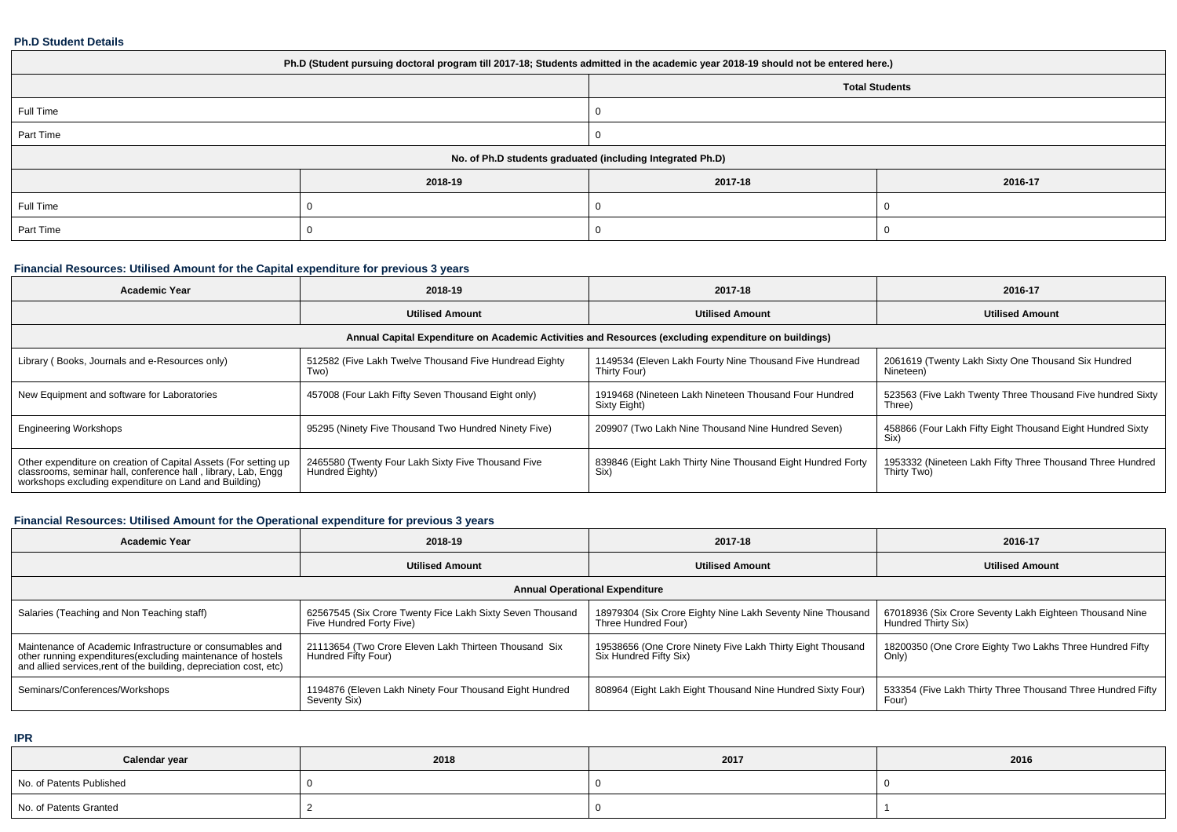### **Ph.D Student Details**

| Ph.D (Student pursuing doctoral program till 2017-18; Students admitted in the academic year 2018-19 should not be entered here.) |         |         |         |  |  |  |  |
|-----------------------------------------------------------------------------------------------------------------------------------|---------|---------|---------|--|--|--|--|
| <b>Total Students</b>                                                                                                             |         |         |         |  |  |  |  |
| Full Time                                                                                                                         |         |         |         |  |  |  |  |
| Part Time                                                                                                                         |         |         |         |  |  |  |  |
| No. of Ph.D students graduated (including Integrated Ph.D)                                                                        |         |         |         |  |  |  |  |
|                                                                                                                                   | 2018-19 | 2017-18 | 2016-17 |  |  |  |  |
| Full Time                                                                                                                         |         |         |         |  |  |  |  |
| Part Time                                                                                                                         |         |         |         |  |  |  |  |

## **Financial Resources: Utilised Amount for the Capital expenditure for previous 3 years**

| <b>Academic Year</b>                                                                                                                                                                      | 2018-19                                                               | 2017-18                                                                 | 2016-17                                                                  |  |  |  |  |  |  |
|-------------------------------------------------------------------------------------------------------------------------------------------------------------------------------------------|-----------------------------------------------------------------------|-------------------------------------------------------------------------|--------------------------------------------------------------------------|--|--|--|--|--|--|
|                                                                                                                                                                                           | <b>Utilised Amount</b>                                                | <b>Utilised Amount</b>                                                  | <b>Utilised Amount</b>                                                   |  |  |  |  |  |  |
| Annual Capital Expenditure on Academic Activities and Resources (excluding expenditure on buildings)                                                                                      |                                                                       |                                                                         |                                                                          |  |  |  |  |  |  |
| Library (Books, Journals and e-Resources only)                                                                                                                                            | 512582 (Five Lakh Twelve Thousand Five Hundread Eighty<br>Two)        | 1149534 (Eleven Lakh Fourty Nine Thousand Five Hundread<br>Thirty Four) | 2061619 (Twenty Lakh Sixty One Thousand Six Hundred<br>Nineteen)         |  |  |  |  |  |  |
| New Equipment and software for Laboratories                                                                                                                                               | 457008 (Four Lakh Fifty Seven Thousand Eight only)                    | 1919468 (Nineteen Lakh Nineteen Thousand Four Hundred<br>Sixty Eight)   | 523563 (Five Lakh Twenty Three Thousand Five hundred Sixty<br>Three)     |  |  |  |  |  |  |
| <b>Engineering Workshops</b>                                                                                                                                                              | 95295 (Ninety Five Thousand Two Hundred Ninety Five)                  | 209907 (Two Lakh Nine Thousand Nine Hundred Seven)                      | 458866 (Four Lakh Fifty Eight Thousand Eight Hundred Sixty<br>Six)       |  |  |  |  |  |  |
| Other expenditure on creation of Capital Assets (For setting up<br>classrooms, seminar hall, conference hall, library, Lab, Engg<br>workshops excluding expenditure on Land and Building) | 2465580 (Twenty Four Lakh Sixty Five Thousand Five<br>Hundred Eighty) | 839846 (Eight Lakh Thirty Nine Thousand Eight Hundred Forty<br>Six)     | 1953332 (Nineteen Lakh Fifty Three Thousand Three Hundred<br>Thirty Two) |  |  |  |  |  |  |

# **Financial Resources: Utilised Amount for the Operational expenditure for previous 3 years**

| <b>Academic Year</b>                                                                                                                                                                           | 2018-19                                                                               | 2017-18                                                                              | 2016-17                                                                        |  |  |  |  |  |  |
|------------------------------------------------------------------------------------------------------------------------------------------------------------------------------------------------|---------------------------------------------------------------------------------------|--------------------------------------------------------------------------------------|--------------------------------------------------------------------------------|--|--|--|--|--|--|
|                                                                                                                                                                                                | <b>Utilised Amount</b>                                                                | <b>Utilised Amount</b>                                                               | <b>Utilised Amount</b>                                                         |  |  |  |  |  |  |
| <b>Annual Operational Expenditure</b>                                                                                                                                                          |                                                                                       |                                                                                      |                                                                                |  |  |  |  |  |  |
| Salaries (Teaching and Non Teaching staff)                                                                                                                                                     | 62567545 (Six Crore Twenty Fice Lakh Sixty Seven Thousand<br>Five Hundred Forty Five) | 18979304 (Six Crore Eighty Nine Lakh Seventy Nine Thousand<br>Three Hundred Four)    | 67018936 (Six Crore Seventy Lakh Eighteen Thousand Nine<br>Hundred Thirty Six) |  |  |  |  |  |  |
| Maintenance of Academic Infrastructure or consumables and<br>other running expenditures(excluding maintenance of hostels<br>and allied services, rent of the building, depreciation cost, etc) | 21113654 (Two Crore Eleven Lakh Thirteen Thousand Six<br>Hundred Fifty Four)          | 19538656 (One Crore Ninety Five Lakh Thirty Eight Thousand<br>Six Hundred Fifty Six) | 18200350 (One Crore Eighty Two Lakhs Three Hundred Fifty<br>Only)              |  |  |  |  |  |  |
| Seminars/Conferences/Workshops                                                                                                                                                                 | 1194876 (Eleven Lakh Ninety Four Thousand Eight Hundred<br>Seventy Six)               | 808964 (Eight Lakh Eight Thousand Nine Hundred Sixty Four)                           | 533354 (Five Lakh Thirty Three Thousand Three Hundred Fifty<br>Four)           |  |  |  |  |  |  |

**IPR**

| Calendar year            | 2018 | 2017 | 2016 |
|--------------------------|------|------|------|
| No. of Patents Published |      |      |      |
| No. of Patents Granted   |      |      |      |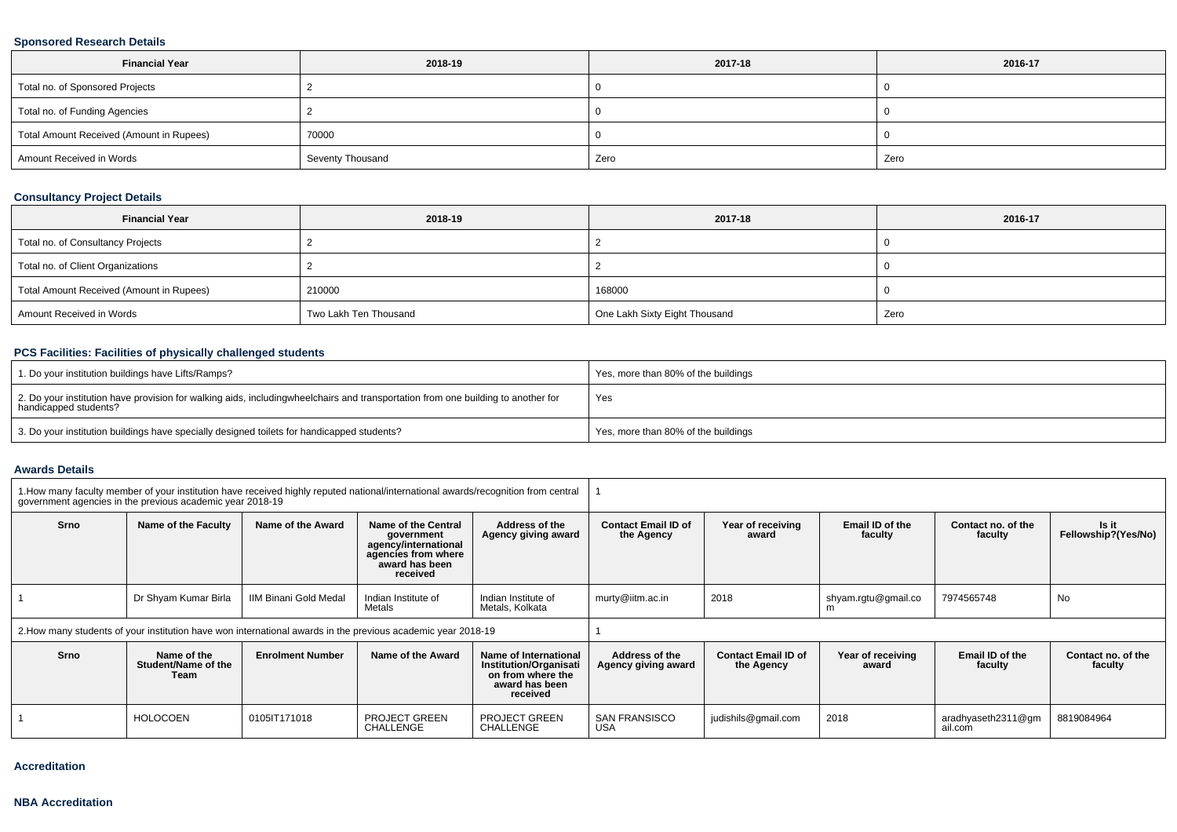## **Sponsored Research Details**

| <b>Financial Year</b>                    | 2018-19          | 2017-18 | 2016-17 |
|------------------------------------------|------------------|---------|---------|
| Total no. of Sponsored Projects          |                  |         |         |
| Total no. of Funding Agencies            |                  |         |         |
| Total Amount Received (Amount in Rupees) | 70000            |         |         |
| Amount Received in Words                 | Seventy Thousand | Zero    | Zero    |

## **Consultancy Project Details**

| <b>Financial Year</b>                    | 2018-19               | 2017-18                       | 2016-17 |
|------------------------------------------|-----------------------|-------------------------------|---------|
| Total no. of Consultancy Projects        |                       |                               |         |
| Total no. of Client Organizations        |                       |                               |         |
| Total Amount Received (Amount in Rupees) | 210000                | 168000                        |         |
| Amount Received in Words                 | Two Lakh Ten Thousand | One Lakh Sixty Eight Thousand | Zero    |

# **PCS Facilities: Facilities of physically challenged students**

| 1. Do your institution buildings have Lifts/Ramps?                                                                                                        | Yes, more than 80% of the buildings |
|-----------------------------------------------------------------------------------------------------------------------------------------------------------|-------------------------------------|
| 2. Do your institution have provision for walking aids, includingwheelchairs and transportation from one building to another for<br>handicapped students? | Yes                                 |
| 3. Do your institution buildings have specially designed toilets for handicapped students?                                                                | Yes, more than 80% of the buildings |

#### **Awards Details**

| 1. How many faculty member of your institution have received highly reputed national/international awards/recognition from central<br>government agencies in the previous academic year 2018-19 |                                                                                                              |                         |                                                                                                                |                                                                                                           |                                          |                                          |                            |                               |                               |
|-------------------------------------------------------------------------------------------------------------------------------------------------------------------------------------------------|--------------------------------------------------------------------------------------------------------------|-------------------------|----------------------------------------------------------------------------------------------------------------|-----------------------------------------------------------------------------------------------------------|------------------------------------------|------------------------------------------|----------------------------|-------------------------------|-------------------------------|
| Srno                                                                                                                                                                                            | Name of the Faculty                                                                                          | Name of the Award       | Name of the Central<br>government<br>agency/international<br>agencies from where<br>award has been<br>received | Address of the<br>Agency giving award                                                                     | <b>Contact Email ID of</b><br>the Agency | Year of receiving<br>award               | Email ID of the<br>faculty | Contact no. of the<br>faculty | Is it<br>Fellowship?(Yes/No)  |
|                                                                                                                                                                                                 | Dr Shyam Kumar Birla                                                                                         | IIM Binani Gold Medal   | Indian Institute of<br>Metals                                                                                  | Indian Institute of<br>Metals, Kolkata                                                                    | murty@iitm.ac.in                         | 2018                                     | shyam.rgtu@gmail.co<br>m   | 7974565748                    | No                            |
|                                                                                                                                                                                                 | 2. How many students of your institution have won international awards in the previous academic year 2018-19 |                         |                                                                                                                |                                                                                                           |                                          |                                          |                            |                               |                               |
| Srno                                                                                                                                                                                            | Name of the<br>Student/Name of the<br>Team                                                                   | <b>Enrolment Number</b> | Name of the Award                                                                                              | Name of International<br><b>Institution/Organisati</b><br>on from where the<br>award has been<br>received | Address of the<br>Agency giving award    | <b>Contact Email ID of</b><br>the Agency | Year of receiving<br>award | Email ID of the<br>faculty    | Contact no. of the<br>faculty |
|                                                                                                                                                                                                 | <b>HOLOCOEN</b>                                                                                              | 0105IT171018            | <b>PROJECT GREEN</b><br>CHALLENGE                                                                              | <b>PROJECT GREEN</b><br><b>CHALLENGE</b>                                                                  | SAN FRANSISCO<br><b>USA</b>              | judishils@gmail.com                      | 2018                       | aradhyaseth2311@gm<br>ail.com | 8819084964                    |

#### **Accreditation**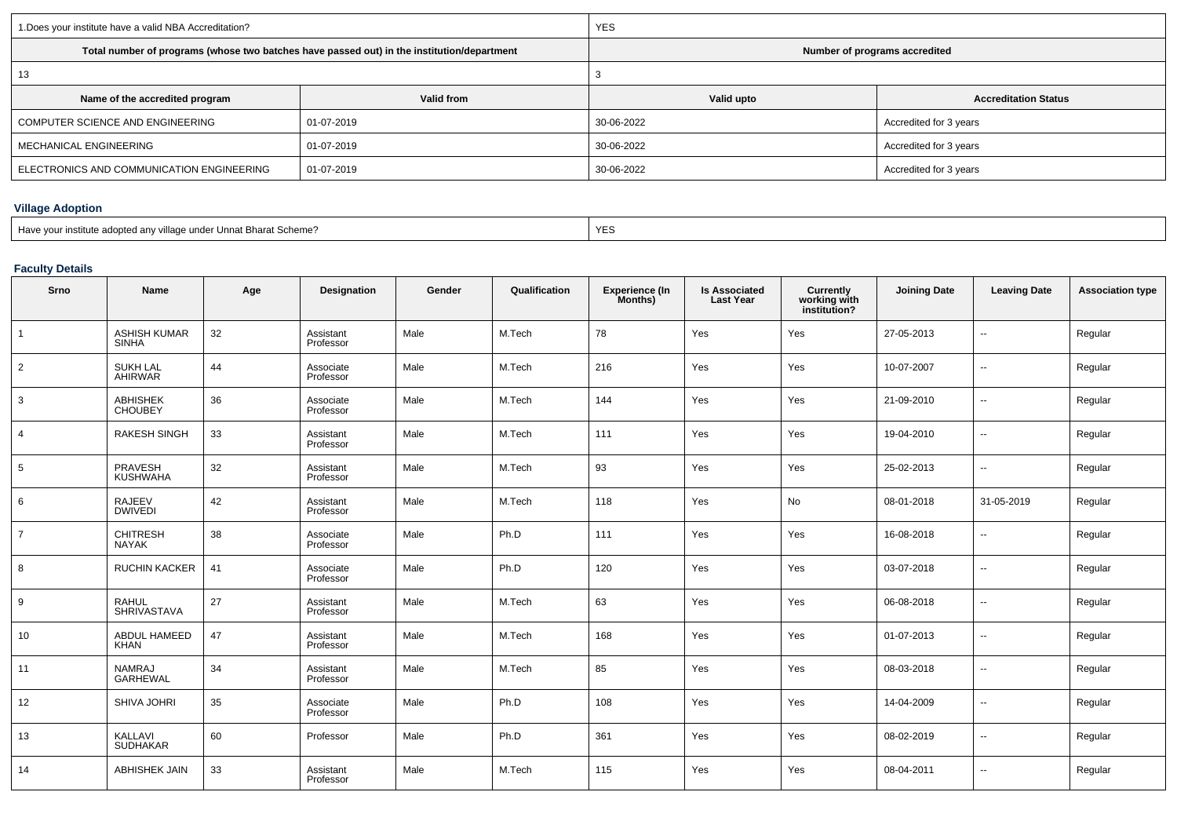| 1. Does your institute have a valid NBA Accreditation? |                                                                                            | <b>YES</b>                    |                             |  |  |  |
|--------------------------------------------------------|--------------------------------------------------------------------------------------------|-------------------------------|-----------------------------|--|--|--|
|                                                        | Total number of programs (whose two batches have passed out) in the institution/department | Number of programs accredited |                             |  |  |  |
| 13                                                     |                                                                                            |                               |                             |  |  |  |
| Name of the accredited program                         | Valid from                                                                                 | Valid upto                    | <b>Accreditation Status</b> |  |  |  |
| COMPUTER SCIENCE AND ENGINEERING                       | 01-07-2019                                                                                 | 30-06-2022                    | Accredited for 3 years      |  |  |  |
| MECHANICAL ENGINEERING                                 | 01-07-2019                                                                                 | 30-06-2022                    | Accredited for 3 years      |  |  |  |
| ELECTRONICS AND COMMUNICATION ENGINEERING              | 01-07-2019                                                                                 | 30-06-2022                    | Accredited for 3 years      |  |  |  |

# **Village Adoption**

## **Faculty Details**

| Srno           | <b>Name</b>                         | Age | Designation            | Gender | Qualification | <b>Experience (In</b><br>Months) | <b>Is Associated</b><br><b>Last Year</b> | Currently<br>working with<br>institution? | <b>Joining Date</b> | <b>Leaving Date</b>      | <b>Association type</b> |
|----------------|-------------------------------------|-----|------------------------|--------|---------------|----------------------------------|------------------------------------------|-------------------------------------------|---------------------|--------------------------|-------------------------|
| 1              | <b>ASHISH KUMAR</b><br><b>SINHA</b> | 32  | Assistant<br>Professor | Male   | M.Tech        | 78                               | Yes                                      | Yes                                       | 27-05-2013          | $\sim$                   | Regular                 |
| $\overline{2}$ | <b>SUKH LAL</b><br>AHIRWAR          | 44  | Associate<br>Professor | Male   | M.Tech        | 216                              | Yes                                      | Yes                                       | 10-07-2007          | $\sim$                   | Regular                 |
| 3              | ABHISHEK<br>CHOUBEY                 | 36  | Associate<br>Professor | Male   | M.Tech        | 144                              | Yes                                      | Yes                                       | 21-09-2010          | $\sim$                   | Regular                 |
| 4              | <b>RAKESH SINGH</b>                 | 33  | Assistant<br>Professor | Male   | M.Tech        | 111                              | Yes                                      | Yes                                       | 19-04-2010          | $\sim$                   | Regular                 |
| 5              | PRAVESH<br><b>KUSHWAHA</b>          | 32  | Assistant<br>Professor | Male   | M.Tech        | 93                               | Yes                                      | Yes                                       | 25-02-2013          | $\sim$                   | Regular                 |
| 6              | RAJEEV<br><b>DWIVEDI</b>            | 42  | Assistant<br>Professor | Male   | M.Tech        | 118                              | Yes                                      | No                                        | 08-01-2018          | 31-05-2019               | Regular                 |
| $\overline{7}$ | <b>CHITRESH</b><br><b>NAYAK</b>     | 38  | Associate<br>Professor | Male   | Ph.D          | 111                              | Yes                                      | Yes                                       | 16-08-2018          | --                       | Regular                 |
| 8              | <b>RUCHIN KACKER</b>                | 41  | Associate<br>Professor | Male   | Ph.D          | 120                              | Yes                                      | Yes                                       | 03-07-2018          | $\overline{\phantom{a}}$ | Regular                 |
| 9              | <b>RAHUL</b><br>SHRIVASTAVA         | 27  | Assistant<br>Professor | Male   | M.Tech        | 63                               | Yes                                      | Yes                                       | 06-08-2018          | $\sim$                   | Regular                 |
| 10             | ABDUL HAMEED<br><b>KHAN</b>         | 47  | Assistant<br>Professor | Male   | M.Tech        | 168                              | Yes                                      | Yes                                       | 01-07-2013          | $\overline{\phantom{a}}$ | Regular                 |
| 11             | <b>NAMRAJ</b><br><b>GARHEWAL</b>    | 34  | Assistant<br>Professor | Male   | M.Tech        | 85                               | Yes                                      | Yes                                       | 08-03-2018          | $\sim$                   | Regular                 |
| 12             | SHIVA JOHRI                         | 35  | Associate<br>Professor | Male   | Ph.D          | 108                              | Yes                                      | Yes                                       | 14-04-2009          | $\sim$                   | Regular                 |
| 13             | KALLAVI<br><b>SUDHAKAR</b>          | 60  | Professor              | Male   | Ph.D          | 361                              | Yes                                      | Yes                                       | 08-02-2019          | $\sim$                   | Regular                 |
| 14             | <b>ABHISHEK JAIN</b>                | 33  | Assistant<br>Professor | Male   | M.Tech        | 115                              | Yes                                      | Yes                                       | 08-04-2011          | $\overline{\phantom{a}}$ | Regular                 |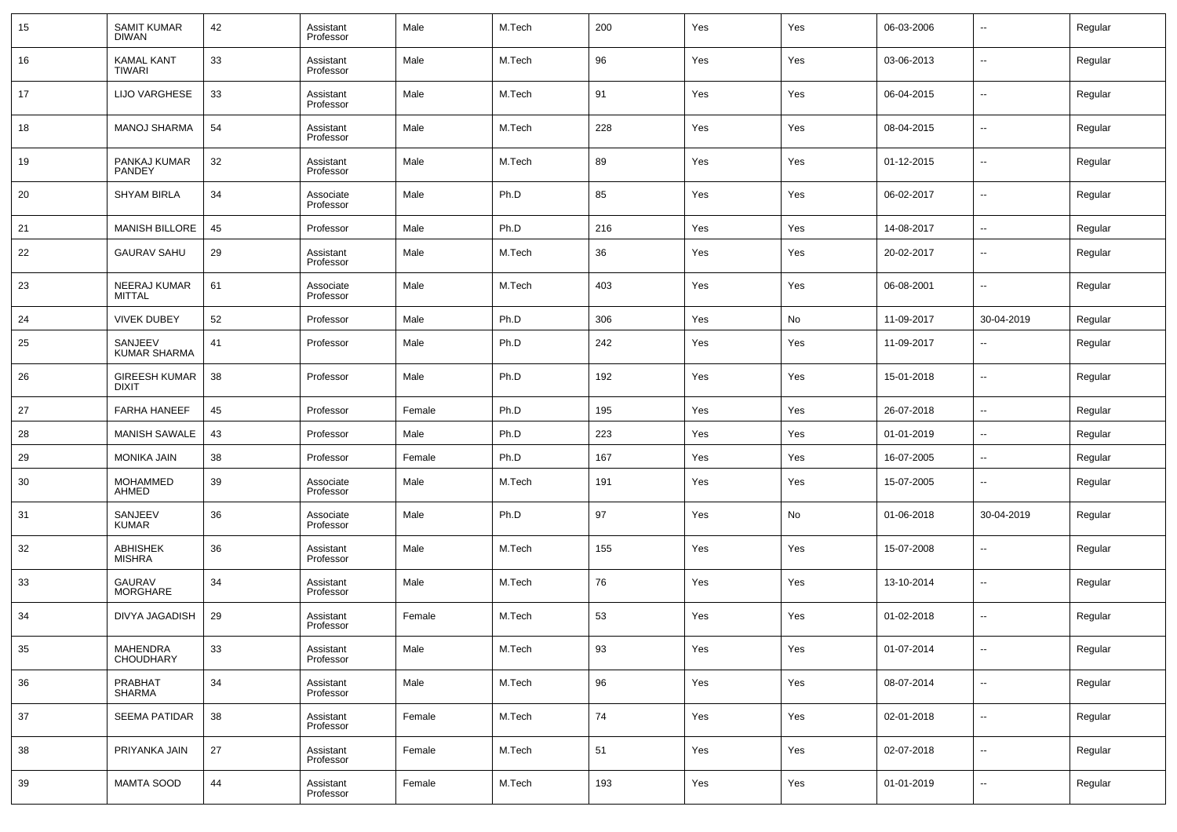| 15     | <b>SAMIT KUMAR</b><br><b>DIWAN</b>   | 42 | Assistant<br>Professor | Male   | M.Tech | 200        | Yes | Yes | 06-03-2006 | --                       | Regular |
|--------|--------------------------------------|----|------------------------|--------|--------|------------|-----|-----|------------|--------------------------|---------|
| 16     | <b>KAMAL KANT</b><br>TIWARI          | 33 | Assistant<br>Professor | Male   | M.Tech | 96         | Yes | Yes | 03-06-2013 | $\overline{\phantom{a}}$ | Regular |
| 17     | <b>LIJO VARGHESE</b>                 | 33 | Assistant<br>Professor | Male   | M.Tech | 91         | Yes | Yes | 06-04-2015 | $\overline{\phantom{a}}$ | Regular |
| 18     | <b>MANOJ SHARMA</b>                  | 54 | Assistant<br>Professor | Male   | M.Tech | 228        | Yes | Yes | 08-04-2015 | --                       | Regular |
| 19     | PANKAJ KUMAR<br><b>PANDEY</b>        | 32 | Assistant<br>Professor | Male   | M.Tech | 89         | Yes | Yes | 01-12-2015 | $\overline{\phantom{a}}$ | Regular |
| 20     | <b>SHYAM BIRLA</b>                   | 34 | Associate<br>Professor | Male   | Ph.D   | 85         | Yes | Yes | 06-02-2017 | --                       | Regular |
| 21     | <b>MANISH BILLORE</b>                | 45 | Professor              | Male   | Ph.D   | 216        | Yes | Yes | 14-08-2017 | --                       | Regular |
| 22     | <b>GAURAV SAHU</b>                   | 29 | Assistant<br>Professor | Male   | M.Tech | 36         | Yes | Yes | 20-02-2017 | $\overline{\phantom{a}}$ | Regular |
| 23     | NEERAJ KUMAR<br><b>MITTAL</b>        | 61 | Associate<br>Professor | Male   | M.Tech | 403        | Yes | Yes | 06-08-2001 | $\overline{\phantom{a}}$ | Regular |
| 24     | <b>VIVEK DUBEY</b>                   | 52 | Professor              | Male   | Ph.D   | 306        | Yes | No  | 11-09-2017 | 30-04-2019               | Regular |
| 25     | SANJEEV<br><b>KUMAR SHARMA</b>       | 41 | Professor              | Male   | Ph.D   | 242        | Yes | Yes | 11-09-2017 | $\overline{\phantom{a}}$ | Regular |
| 26     | <b>GIREESH KUMAR</b><br><b>DIXIT</b> | 38 | Professor              | Male   | Ph.D   | 192        | Yes | Yes | 15-01-2018 | $\overline{\phantom{a}}$ | Regular |
| 27     | <b>FARHA HANEEF</b>                  | 45 | Professor              | Female | Ph.D   | 195        | Yes | Yes | 26-07-2018 | $\sim$                   | Regular |
| 28     | <b>MANISH SAWALE</b>                 | 43 | Professor              | Male   | Ph.D   | 223        | Yes | Yes | 01-01-2019 | --                       | Regular |
| 29     | <b>MONIKA JAIN</b>                   | 38 | Professor              | Female | Ph.D   | 167        | Yes | Yes | 16-07-2005 | $\overline{\phantom{a}}$ | Regular |
| 30     | <b>MOHAMMED</b><br>AHMED             | 39 | Associate<br>Professor | Male   | M.Tech | 191        | Yes | Yes | 15-07-2005 | $\overline{\phantom{a}}$ | Regular |
| 31     | SANJEEV<br><b>KUMAR</b>              | 36 | Associate<br>Professor | Male   | Ph.D   | 97         | Yes | No  | 01-06-2018 | 30-04-2019               | Regular |
| 32     | <b>ABHISHEK</b><br><b>MISHRA</b>     | 36 | Assistant<br>Professor | Male   | M.Tech | 155        | Yes | Yes | 15-07-2008 | $\overline{\phantom{a}}$ | Regular |
| 33     | GAURAV<br><b>MORGHARE</b>            | 34 | Assistant<br>Professor | Male   | M.Tech | 76         | Yes | Yes | 13-10-2014 | $\overline{\phantom{a}}$ | Regular |
| 34     | DIVYA JAGADISH                       | 29 | Assistant<br>Professor | Female | M.Tech | 53         | Yes | Yes | 01-02-2018 | $\overline{\phantom{a}}$ | Regular |
| $35\,$ | MAHENDRA<br>CHOUDHARY                | 33 | Assistant<br>Professor | Male   | M.Tech | 93         | Yes | Yes | 01-07-2014 | $\overline{\phantom{a}}$ | Regular |
| 36     | PRABHAT<br>SHARMA                    | 34 | Assistant<br>Professor | Male   | M.Tech | 96         | Yes | Yes | 08-07-2014 | $\overline{\phantom{a}}$ | Regular |
| 37     | SEEMA PATIDAR                        | 38 | Assistant<br>Professor | Female | M.Tech | ${\bf 74}$ | Yes | Yes | 02-01-2018 | $\overline{\phantom{a}}$ | Regular |
| 38     | PRIYANKA JAIN                        | 27 | Assistant<br>Professor | Female | M.Tech | 51         | Yes | Yes | 02-07-2018 | $\overline{\phantom{a}}$ | Regular |
| 39     | MAMTA SOOD                           | 44 | Assistant<br>Professor | Female | M.Tech | 193        | Yes | Yes | 01-01-2019 | $\overline{\phantom{a}}$ | Regular |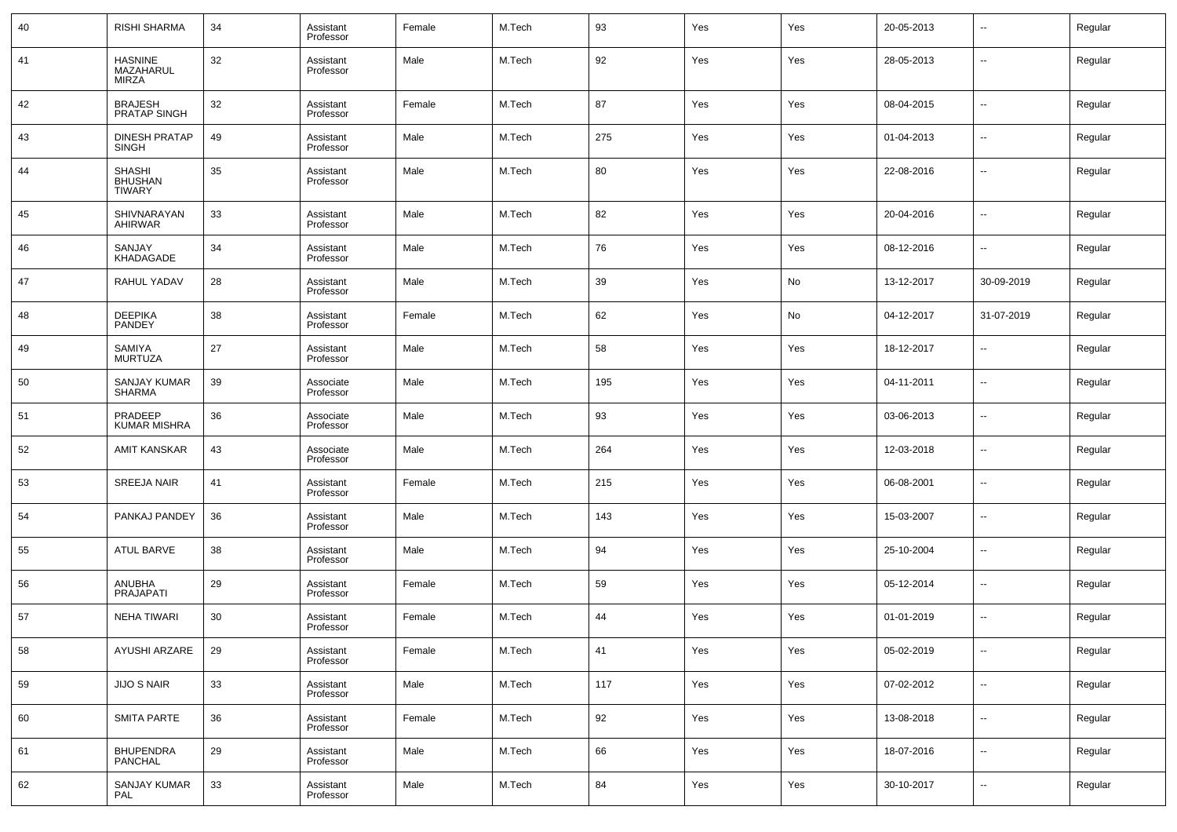| 40 | <b>RISHI SHARMA</b>                              | 34 | Assistant<br>Professor | Female | M.Tech | 93  | Yes | Yes | 20-05-2013 | ⊷                        | Regular |
|----|--------------------------------------------------|----|------------------------|--------|--------|-----|-----|-----|------------|--------------------------|---------|
| 41 | <b>HASNINE</b><br>MAZAHARUL<br>MIRZA             | 32 | Assistant<br>Professor | Male   | M.Tech | 92  | Yes | Yes | 28-05-2013 | $\overline{\phantom{a}}$ | Regular |
| 42 | <b>BRAJESH</b><br>PRATAP SINGH                   | 32 | Assistant<br>Professor | Female | M.Tech | 87  | Yes | Yes | 08-04-2015 | --                       | Regular |
| 43 | <b>DINESH PRATAP</b><br><b>SINGH</b>             | 49 | Assistant<br>Professor | Male   | M.Tech | 275 | Yes | Yes | 01-04-2013 | --                       | Regular |
| 44 | <b>SHASHI</b><br><b>BHUSHAN</b><br><b>TIWARY</b> | 35 | Assistant<br>Professor | Male   | M.Tech | 80  | Yes | Yes | 22-08-2016 | --                       | Regular |
| 45 | SHIVNARAYAN<br><b>AHIRWAR</b>                    | 33 | Assistant<br>Professor | Male   | M.Tech | 82  | Yes | Yes | 20-04-2016 | $\overline{\phantom{a}}$ | Regular |
| 46 | SANJAY<br>KHADAGADE                              | 34 | Assistant<br>Professor | Male   | M.Tech | 76  | Yes | Yes | 08-12-2016 | ⊷                        | Regular |
| 47 | RAHUL YADAV                                      | 28 | Assistant<br>Professor | Male   | M.Tech | 39  | Yes | No  | 13-12-2017 | 30-09-2019               | Regular |
| 48 | <b>DEEPIKA</b><br>PANDEY                         | 38 | Assistant<br>Professor | Female | M.Tech | 62  | Yes | No  | 04-12-2017 | 31-07-2019               | Regular |
| 49 | SAMIYA<br><b>MURTUZA</b>                         | 27 | Assistant<br>Professor | Male   | M.Tech | 58  | Yes | Yes | 18-12-2017 | $\overline{\phantom{a}}$ | Regular |
| 50 | SANJAY KUMAR<br>SHARMA                           | 39 | Associate<br>Professor | Male   | M.Tech | 195 | Yes | Yes | 04-11-2011 | ⊷                        | Regular |
| 51 | PRADEEP<br><b>KUMAR MISHRA</b>                   | 36 | Associate<br>Professor | Male   | M.Tech | 93  | Yes | Yes | 03-06-2013 | $\overline{\phantom{a}}$ | Regular |
| 52 | AMIT KANSKAR                                     | 43 | Associate<br>Professor | Male   | M.Tech | 264 | Yes | Yes | 12-03-2018 | $\overline{\phantom{a}}$ | Regular |
| 53 | <b>SREEJA NAIR</b>                               | 41 | Assistant<br>Professor | Female | M.Tech | 215 | Yes | Yes | 06-08-2001 | $\overline{\phantom{a}}$ | Regular |
| 54 | PANKAJ PANDEY                                    | 36 | Assistant<br>Professor | Male   | M.Tech | 143 | Yes | Yes | 15-03-2007 | $\overline{\phantom{a}}$ | Regular |
| 55 | ATUL BARVE                                       | 38 | Assistant<br>Professor | Male   | M.Tech | 94  | Yes | Yes | 25-10-2004 | $\overline{\phantom{a}}$ | Regular |
| 56 | ANUBHA<br><b>PRAJAPATI</b>                       | 29 | Assistant<br>Professor | Female | M.Tech | 59  | Yes | Yes | 05-12-2014 | $\overline{\phantom{a}}$ | Regular |
| 57 | <b>NEHA TIWARI</b>                               | 30 | Assistant<br>Professor | Female | M.Tech | 44  | Yes | Yes | 01-01-2019 | -−                       | Regular |
| 58 | AYUSHI ARZARE                                    | 29 | Assistant<br>Professor | Female | M.Tech | 41  | Yes | Yes | 05-02-2019 | $\sim$                   | Regular |
| 59 | JIJO S NAIR                                      | 33 | Assistant<br>Professor | Male   | M.Tech | 117 | Yes | Yes | 07-02-2012 | $\sim$                   | Regular |
| 60 | <b>SMITA PARTE</b>                               | 36 | Assistant<br>Professor | Female | M.Tech | 92  | Yes | Yes | 13-08-2018 | $\sim$                   | Regular |
| 61 | BHUPENDRA<br>PANCHAL                             | 29 | Assistant<br>Professor | Male   | M.Tech | 66  | Yes | Yes | 18-07-2016 | $\sim$                   | Regular |
| 62 | SANJAY KUMAR<br>PAL                              | 33 | Assistant<br>Professor | Male   | M.Tech | 84  | Yes | Yes | 30-10-2017 | ⊷                        | Regular |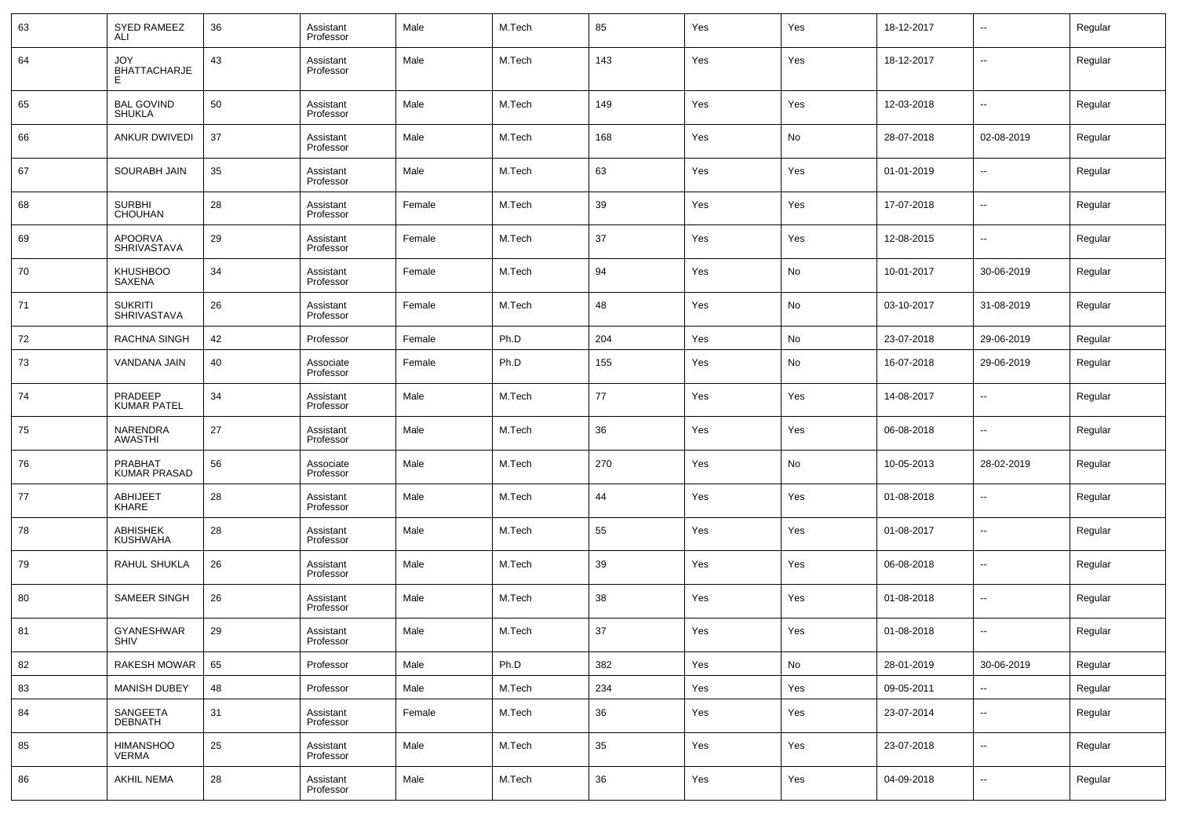| 63 | <b>SYED RAMEEZ</b><br>ALI            | 36 | Assistant<br>Professor | Male   | M.Tech | 85  | Yes | Yes | 18-12-2017 | $\overline{\phantom{a}}$ | Regular |
|----|--------------------------------------|----|------------------------|--------|--------|-----|-----|-----|------------|--------------------------|---------|
| 64 | JOY<br><b>BHATTACHARJE</b><br>E.     | 43 | Assistant<br>Professor | Male   | M.Tech | 143 | Yes | Yes | 18-12-2017 | $\overline{\phantom{a}}$ | Regular |
| 65 | <b>BAL GOVIND</b><br><b>SHUKLA</b>   | 50 | Assistant<br>Professor | Male   | M.Tech | 149 | Yes | Yes | 12-03-2018 | $\ddotsc$                | Regular |
| 66 | <b>ANKUR DWIVEDI</b>                 | 37 | Assistant<br>Professor | Male   | M.Tech | 168 | Yes | No  | 28-07-2018 | 02-08-2019               | Regular |
| 67 | SOURABH JAIN                         | 35 | Assistant<br>Professor | Male   | M.Tech | 63  | Yes | Yes | 01-01-2019 | $\ddotsc$                | Regular |
| 68 | <b>SURBHI</b><br><b>CHOUHAN</b>      | 28 | Assistant<br>Professor | Female | M.Tech | 39  | Yes | Yes | 17-07-2018 | $\sim$                   | Regular |
| 69 | <b>APOORVA</b><br>SHRIVASTAVA        | 29 | Assistant<br>Professor | Female | M.Tech | 37  | Yes | Yes | 12-08-2015 | $\ddotsc$                | Regular |
| 70 | <b>KHUSHBOO</b><br>SAXENA            | 34 | Assistant<br>Professor | Female | M.Tech | 94  | Yes | No  | 10-01-2017 | 30-06-2019               | Regular |
| 71 | <b>SUKRITI</b><br><b>SHRIVASTAVA</b> | 26 | Assistant<br>Professor | Female | M.Tech | 48  | Yes | No  | 03-10-2017 | 31-08-2019               | Regular |
| 72 | RACHNA SINGH                         | 42 | Professor              | Female | Ph.D   | 204 | Yes | No  | 23-07-2018 | 29-06-2019               | Regular |
| 73 | VANDANA JAIN                         | 40 | Associate<br>Professor | Female | Ph.D   | 155 | Yes | No  | 16-07-2018 | 29-06-2019               | Regular |
| 74 | PRADEEP<br><b>KUMAR PATEL</b>        | 34 | Assistant<br>Professor | Male   | M.Tech | 77  | Yes | Yes | 14-08-2017 | $\overline{\phantom{a}}$ | Regular |
| 75 | NARENDRA<br>AWASTHI                  | 27 | Assistant<br>Professor | Male   | M.Tech | 36  | Yes | Yes | 06-08-2018 | $\overline{\phantom{a}}$ | Regular |
| 76 | PRABHAT<br><b>KUMAR PRASAD</b>       | 56 | Associate<br>Professor | Male   | M.Tech | 270 | Yes | No  | 10-05-2013 | 28-02-2019               | Regular |
| 77 | <b>ABHIJEET</b><br>KHARE             | 28 | Assistant<br>Professor | Male   | M.Tech | 44  | Yes | Yes | 01-08-2018 | $\overline{\phantom{a}}$ | Regular |
| 78 | <b>ABHISHEK</b><br>KUSHWAHA          | 28 | Assistant<br>Professor | Male   | M.Tech | 55  | Yes | Yes | 01-08-2017 | $\overline{\phantom{a}}$ | Regular |
| 79 | RAHUL SHUKLA                         | 26 | Assistant<br>Professor | Male   | M.Tech | 39  | Yes | Yes | 06-08-2018 | $\overline{\phantom{a}}$ | Regular |
| 80 | <b>SAMEER SINGH</b>                  | 26 | Assistant<br>Professor | Male   | M.Tech | 38  | Yes | Yes | 01-08-2018 | $\overline{\phantom{a}}$ | Regular |
| 81 | GYANESHWAR<br>SHIV                   | 29 | Assistant<br>Professor | Male   | M.Tech | 37  | Yes | Yes | 01-08-2018 | $\overline{\phantom{a}}$ | Regular |
| 82 | <b>RAKESH MOWAR</b>                  | 65 | Professor              | Male   | Ph.D   | 382 | Yes | No  | 28-01-2019 | 30-06-2019               | Regular |
| 83 | MANISH DUBEY                         | 48 | Professor              | Male   | M.Tech | 234 | Yes | Yes | 09-05-2011 | --                       | Regular |
| 84 | SANGEETA<br>DEBNATH                  | 31 | Assistant<br>Professor | Female | M.Tech | 36  | Yes | Yes | 23-07-2014 | ⊷                        | Regular |
| 85 | <b>HIMANSHOO</b><br><b>VERMA</b>     | 25 | Assistant<br>Professor | Male   | M.Tech | 35  | Yes | Yes | 23-07-2018 | $\sim$                   | Regular |
| 86 | AKHIL NEMA                           | 28 | Assistant<br>Professor | Male   | M.Tech | 36  | Yes | Yes | 04-09-2018 | ٠.                       | Regular |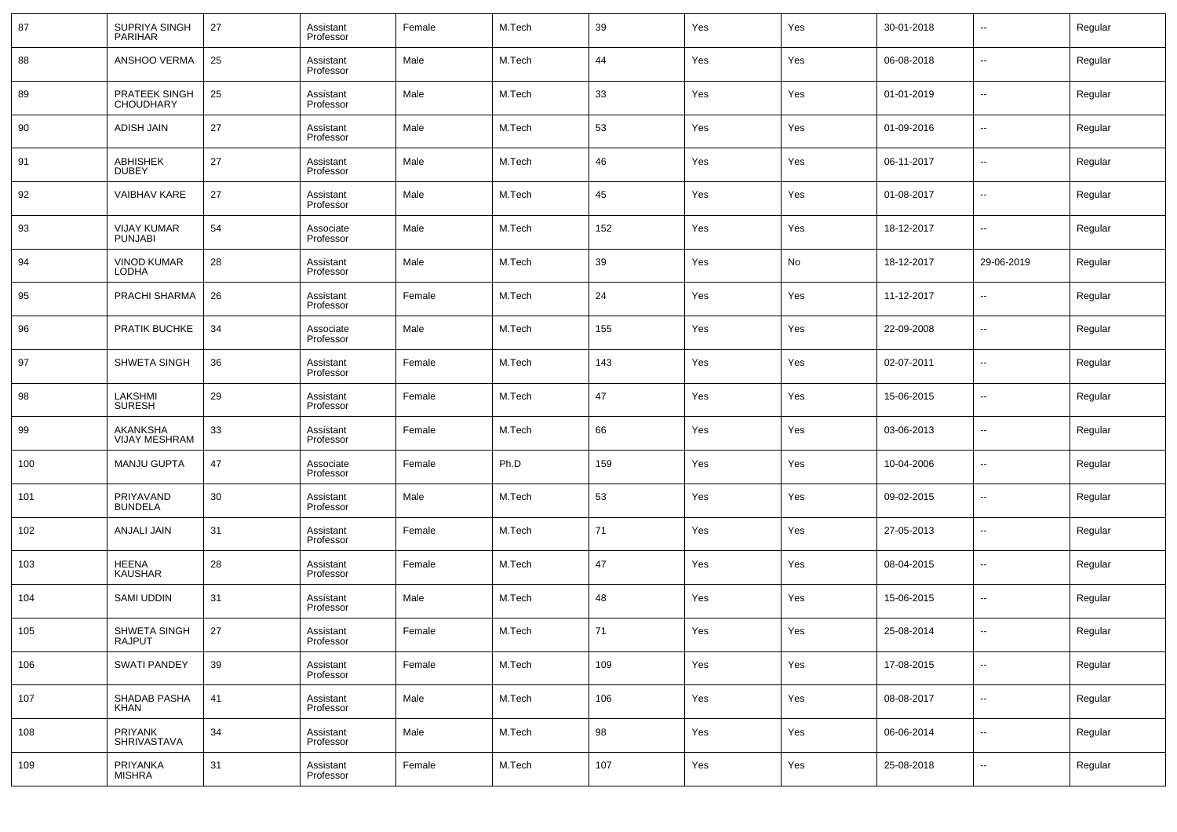| 87  | SUPRIYA SINGH<br><b>PARIHAR</b>      | 27 | Assistant<br>Professor | Female | M.Tech | 39  | Yes | Yes | 30-01-2018 | --                       | Regular |
|-----|--------------------------------------|----|------------------------|--------|--------|-----|-----|-----|------------|--------------------------|---------|
| 88  | ANSHOO VERMA                         | 25 | Assistant<br>Professor | Male   | M.Tech | 44  | Yes | Yes | 06-08-2018 | н.                       | Regular |
| 89  | PRATEEK SINGH<br><b>CHOUDHARY</b>    | 25 | Assistant<br>Professor | Male   | M.Tech | 33  | Yes | Yes | 01-01-2019 | н.                       | Regular |
| 90  | <b>ADISH JAIN</b>                    | 27 | Assistant<br>Professor | Male   | M.Tech | 53  | Yes | Yes | 01-09-2016 | −−                       | Regular |
| 91  | ABHISHEK<br><b>DUBEY</b>             | 27 | Assistant<br>Professor | Male   | M.Tech | 46  | Yes | Yes | 06-11-2017 | н.                       | Regular |
| 92  | VAIBHAV KARE                         | 27 | Assistant<br>Professor | Male   | M.Tech | 45  | Yes | Yes | 01-08-2017 | −−                       | Regular |
| 93  | <b>VIJAY KUMAR</b><br><b>PUNJABI</b> | 54 | Associate<br>Professor | Male   | M.Tech | 152 | Yes | Yes | 18-12-2017 | −−                       | Regular |
| 94  | <b>VINOD KUMAR</b><br>LODHA          | 28 | Assistant<br>Professor | Male   | M.Tech | 39  | Yes | No  | 18-12-2017 | 29-06-2019               | Regular |
| 95  | PRACHI SHARMA                        | 26 | Assistant<br>Professor | Female | M.Tech | 24  | Yes | Yes | 11-12-2017 | $\overline{\phantom{a}}$ | Regular |
| 96  | PRATIK BUCHKE                        | 34 | Associate<br>Professor | Male   | M.Tech | 155 | Yes | Yes | 22-09-2008 | н.                       | Regular |
| 97  | SHWETA SINGH                         | 36 | Assistant<br>Professor | Female | M.Tech | 143 | Yes | Yes | 02-07-2011 | $\overline{\phantom{a}}$ | Regular |
| 98  | LAKSHMI<br><b>SURESH</b>             | 29 | Assistant<br>Professor | Female | M.Tech | 47  | Yes | Yes | 15-06-2015 | $\overline{\phantom{a}}$ | Regular |
| 99  | AKANKSHA<br>VIJAY MESHRAM            | 33 | Assistant<br>Professor | Female | M.Tech | 66  | Yes | Yes | 03-06-2013 | --                       | Regular |
| 100 | <b>MANJU GUPTA</b>                   | 47 | Associate<br>Professor | Female | Ph.D   | 159 | Yes | Yes | 10-04-2006 | $\overline{\phantom{a}}$ | Regular |
| 101 | PRIYAVAND<br><b>BUNDELA</b>          | 30 | Assistant<br>Professor | Male   | M.Tech | 53  | Yes | Yes | 09-02-2015 | $\overline{\phantom{a}}$ | Regular |
| 102 | ANJALI JAIN                          | 31 | Assistant<br>Professor | Female | M.Tech | 71  | Yes | Yes | 27-05-2013 | --                       | Regular |
| 103 | HEENA<br><b>KAUSHAR</b>              | 28 | Assistant<br>Professor | Female | M.Tech | 47  | Yes | Yes | 08-04-2015 | $\overline{\phantom{a}}$ | Regular |
| 104 | SAMI UDDIN                           | 31 | Assistant<br>Professor | Male   | M.Tech | 48  | Yes | Yes | 15-06-2015 | --                       | Regular |
| 105 | SHWETA SINGH<br>RAJPUT               | 27 | Assistant<br>Professor | Female | M.Tech | 71  | Yes | Yes | 25-08-2014 | --                       | Regular |
| 106 | <b>SWATI PANDEY</b>                  | 39 | Assistant<br>Professor | Female | M.Tech | 109 | Yes | Yes | 17-08-2015 | $\overline{\phantom{a}}$ | Regular |
| 107 | SHADAB PASHA<br><b>KHAN</b>          | 41 | Assistant<br>Professor | Male   | M.Tech | 106 | Yes | Yes | 08-08-2017 | $\overline{\phantom{a}}$ | Regular |
| 108 | PRIYANK<br>SHRIVASTAVA               | 34 | Assistant<br>Professor | Male   | M.Tech | 98  | Yes | Yes | 06-06-2014 | $\sim$                   | Regular |
| 109 | PRIYANKA<br><b>MISHRA</b>            | 31 | Assistant<br>Professor | Female | M.Tech | 107 | Yes | Yes | 25-08-2018 | $\sim$                   | Regular |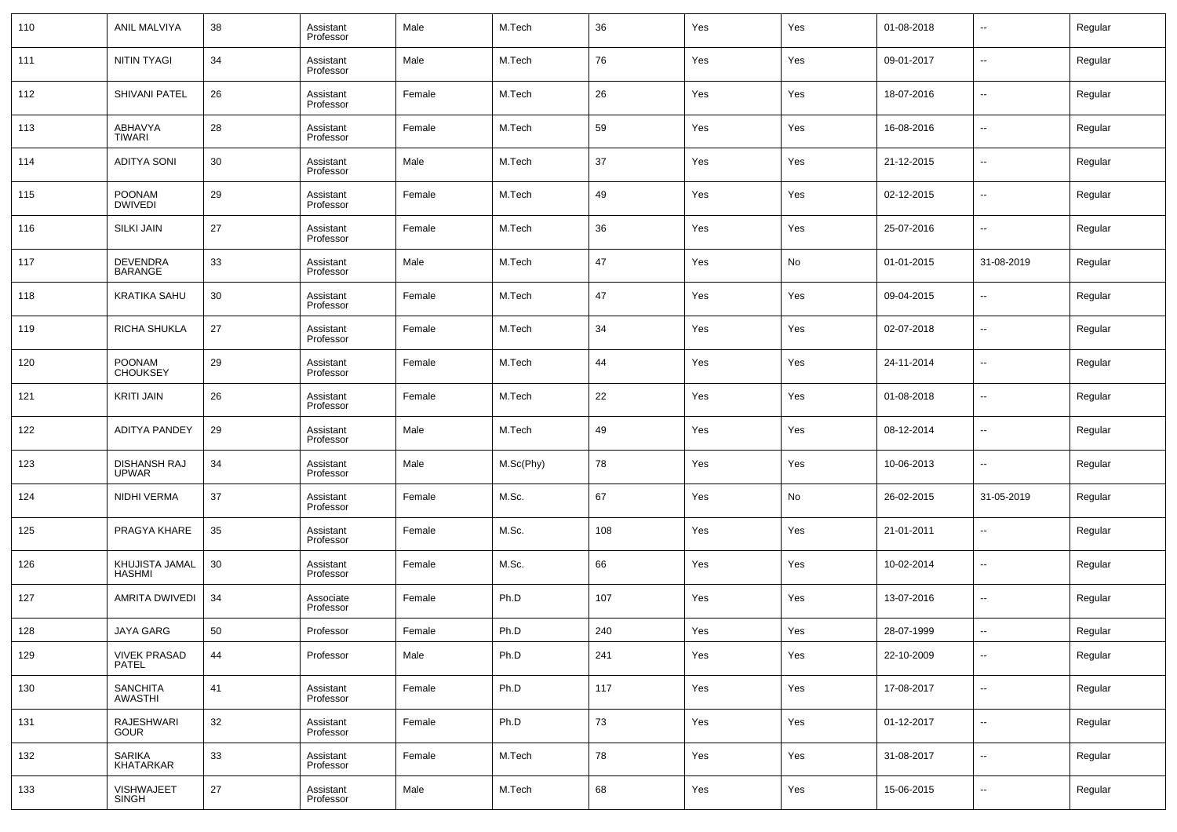| 110 | ANIL MALVIYA                        | 38 | Assistant<br>Professor | Male   | M.Tech    | 36  | Yes | Yes | 01-08-2018 | $\overline{\phantom{a}}$ | Regular |
|-----|-------------------------------------|----|------------------------|--------|-----------|-----|-----|-----|------------|--------------------------|---------|
| 111 | NITIN TYAGI                         | 34 | Assistant<br>Professor | Male   | M.Tech    | 76  | Yes | Yes | 09-01-2017 | --                       | Regular |
| 112 | SHIVANI PATEL                       | 26 | Assistant<br>Professor | Female | M.Tech    | 26  | Yes | Yes | 18-07-2016 | ш,                       | Regular |
| 113 | ABHAVYA<br><b>TIWARI</b>            | 28 | Assistant<br>Professor | Female | M.Tech    | 59  | Yes | Yes | 16-08-2016 | $\sim$                   | Regular |
| 114 | <b>ADITYA SONI</b>                  | 30 | Assistant<br>Professor | Male   | M.Tech    | 37  | Yes | Yes | 21-12-2015 | ш,                       | Regular |
| 115 | <b>POONAM</b><br><b>DWIVEDI</b>     | 29 | Assistant<br>Professor | Female | M.Tech    | 49  | Yes | Yes | 02-12-2015 | ш,                       | Regular |
| 116 | <b>SILKI JAIN</b>                   | 27 | Assistant<br>Professor | Female | M.Tech    | 36  | Yes | Yes | 25-07-2016 | ш,                       | Regular |
| 117 | <b>DEVENDRA</b><br><b>BARANGE</b>   | 33 | Assistant<br>Professor | Male   | M.Tech    | 47  | Yes | No  | 01-01-2015 | 31-08-2019               | Regular |
| 118 | KRATIKA SAHU                        | 30 | Assistant<br>Professor | Female | M.Tech    | 47  | Yes | Yes | 09-04-2015 | $\overline{a}$           | Regular |
| 119 | RICHA SHUKLA                        | 27 | Assistant<br>Professor | Female | M.Tech    | 34  | Yes | Yes | 02-07-2018 | ш,                       | Regular |
| 120 | <b>POONAM</b><br><b>CHOUKSEY</b>    | 29 | Assistant<br>Professor | Female | M.Tech    | 44  | Yes | Yes | 24-11-2014 | --                       | Regular |
| 121 | <b>KRITI JAIN</b>                   | 26 | Assistant<br>Professor | Female | M.Tech    | 22  | Yes | Yes | 01-08-2018 | ш,                       | Regular |
| 122 | <b>ADITYA PANDEY</b>                | 29 | Assistant<br>Professor | Male   | M.Tech    | 49  | Yes | Yes | 08-12-2014 | --                       | Regular |
| 123 | <b>DISHANSH RAJ</b><br><b>UPWAR</b> | 34 | Assistant<br>Professor | Male   | M.Sc(Phy) | 78  | Yes | Yes | 10-06-2013 | $\overline{a}$           | Regular |
| 124 | NIDHI VERMA                         | 37 | Assistant<br>Professor | Female | M.Sc.     | 67  | Yes | No  | 26-02-2015 | 31-05-2019               | Regular |
| 125 | PRAGYA KHARE                        | 35 | Assistant<br>Professor | Female | M.Sc.     | 108 | Yes | Yes | 21-01-2011 | $\overline{a}$           | Regular |
| 126 | KHUJISTA JAMAL<br><b>HASHMI</b>     | 30 | Assistant<br>Professor | Female | M.Sc.     | 66  | Yes | Yes | 10-02-2014 | $\overline{a}$           | Regular |
| 127 | AMRITA DWIVEDI                      | 34 | Associate<br>Professor | Female | Ph.D      | 107 | Yes | Yes | 13-07-2016 | $\overline{a}$           | Regular |
| 128 | <b>JAYA GARG</b>                    | 50 | Professor              | Female | Ph.D      | 240 | Yes | Yes | 28-07-1999 | $\overline{a}$           | Regular |
| 129 | <b>VIVEK PRASAD</b><br>PATEL        | 44 | Professor              | Male   | Ph.D      | 241 | Yes | Yes | 22-10-2009 | $\sim$                   | Regular |
| 130 | SANCHITA<br><b>AWASTHI</b>          | 41 | Assistant<br>Professor | Female | Ph.D      | 117 | Yes | Yes | 17-08-2017 | $\sim$                   | Regular |
| 131 | <b>RAJESHWARI</b><br><b>GOUR</b>    | 32 | Assistant<br>Professor | Female | Ph.D      | 73  | Yes | Yes | 01-12-2017 | $\sim$                   | Regular |
| 132 | <b>SARIKA</b><br><b>KHATARKAR</b>   | 33 | Assistant<br>Professor | Female | M.Tech    | 78  | Yes | Yes | 31-08-2017 | $\sim$                   | Regular |
| 133 | VISHWAJEET<br><b>SINGH</b>          | 27 | Assistant<br>Professor | Male   | M.Tech    | 68  | Yes | Yes | 15-06-2015 | $\sim$                   | Regular |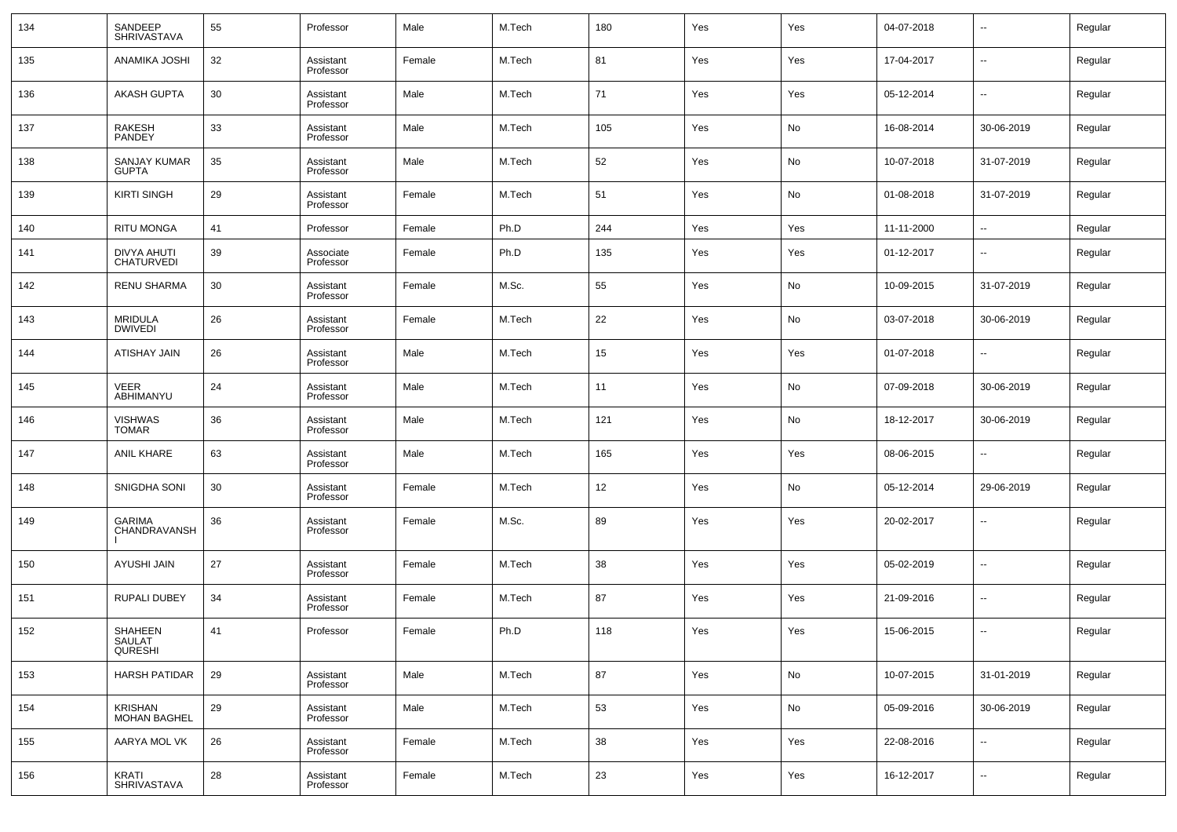| 134 | SANDEEP<br><b>SHRIVASTAVA</b>       | 55 | Professor              | Male   | M.Tech | 180 | Yes | Yes | 04-07-2018 | $\overline{\phantom{a}}$ | Regular |
|-----|-------------------------------------|----|------------------------|--------|--------|-----|-----|-----|------------|--------------------------|---------|
| 135 | ANAMIKA JOSHI                       | 32 | Assistant<br>Professor | Female | M.Tech | 81  | Yes | Yes | 17-04-2017 | $\overline{\phantom{a}}$ | Regular |
| 136 | <b>AKASH GUPTA</b>                  | 30 | Assistant<br>Professor | Male   | M.Tech | 71  | Yes | Yes | 05-12-2014 | $\overline{\phantom{a}}$ | Regular |
| 137 | RAKESH<br>PANDEY                    | 33 | Assistant<br>Professor | Male   | M.Tech | 105 | Yes | No  | 16-08-2014 | 30-06-2019               | Regular |
| 138 | <b>SANJAY KUMAR</b><br><b>GUPTA</b> | 35 | Assistant<br>Professor | Male   | M.Tech | 52  | Yes | No  | 10-07-2018 | 31-07-2019               | Regular |
| 139 | <b>KIRTI SINGH</b>                  | 29 | Assistant<br>Professor | Female | M.Tech | 51  | Yes | No  | 01-08-2018 | 31-07-2019               | Regular |
| 140 | <b>RITU MONGA</b>                   | 41 | Professor              | Female | Ph.D   | 244 | Yes | Yes | 11-11-2000 | $\overline{\phantom{a}}$ | Regular |
| 141 | DIVYA AHUTI<br><b>CHATURVEDI</b>    | 39 | Associate<br>Professor | Female | Ph.D   | 135 | Yes | Yes | 01-12-2017 | $\overline{\phantom{a}}$ | Regular |
| 142 | <b>RENU SHARMA</b>                  | 30 | Assistant<br>Professor | Female | M.Sc.  | 55  | Yes | No  | 10-09-2015 | 31-07-2019               | Regular |
| 143 | <b>MRIDULA</b><br><b>DWIVEDI</b>    | 26 | Assistant<br>Professor | Female | M.Tech | 22  | Yes | No  | 03-07-2018 | 30-06-2019               | Regular |
| 144 | ATISHAY JAIN                        | 26 | Assistant<br>Professor | Male   | M.Tech | 15  | Yes | Yes | 01-07-2018 | $\overline{\phantom{a}}$ | Regular |
| 145 | VEER<br>ABHIMANYU                   | 24 | Assistant<br>Professor | Male   | M.Tech | 11  | Yes | No  | 07-09-2018 | 30-06-2019               | Regular |
| 146 | <b>VISHWAS</b><br><b>TOMAR</b>      | 36 | Assistant<br>Professor | Male   | M.Tech | 121 | Yes | No  | 18-12-2017 | 30-06-2019               | Regular |
| 147 | <b>ANIL KHARE</b>                   | 63 | Assistant<br>Professor | Male   | M.Tech | 165 | Yes | Yes | 08-06-2015 | $\overline{\phantom{a}}$ | Regular |
| 148 | SNIGDHA SONI                        | 30 | Assistant<br>Professor | Female | M.Tech | 12  | Yes | No  | 05-12-2014 | 29-06-2019               | Regular |
| 149 | <b>GARIMA</b><br>CHANDRAVANSH       | 36 | Assistant<br>Professor | Female | M.Sc.  | 89  | Yes | Yes | 20-02-2017 | $\overline{\phantom{a}}$ | Regular |
| 150 | AYUSHI JAIN                         | 27 | Assistant<br>Professor | Female | M.Tech | 38  | Yes | Yes | 05-02-2019 | $\overline{\phantom{a}}$ | Regular |
| 151 | RUPALI DUBEY                        | 34 | Assistant<br>Professor | Female | M.Tech | 87  | Yes | Yes | 21-09-2016 | $\overline{\phantom{a}}$ | Regular |
| 152 | SHAHEEN<br>SAULAT<br><b>QURESHI</b> | 41 | Professor              | Female | Ph.D   | 118 | Yes | Yes | 15-06-2015 | $\overline{a}$           | Regular |
| 153 | <b>HARSH PATIDAR</b>                | 29 | Assistant<br>Professor | Male   | M.Tech | 87  | Yes | No  | 10-07-2015 | 31-01-2019               | Regular |
| 154 | KRISHAN<br><b>MOHAN BAGHEL</b>      | 29 | Assistant<br>Professor | Male   | M.Tech | 53  | Yes | No  | 05-09-2016 | 30-06-2019               | Regular |
| 155 | AARYA MOL VK                        | 26 | Assistant<br>Professor | Female | M.Tech | 38  | Yes | Yes | 22-08-2016 | $\overline{\phantom{a}}$ | Regular |
| 156 | <b>KRATI</b><br>SHRIVASTAVA         | 28 | Assistant<br>Professor | Female | M.Tech | 23  | Yes | Yes | 16-12-2017 | $\overline{\phantom{a}}$ | Regular |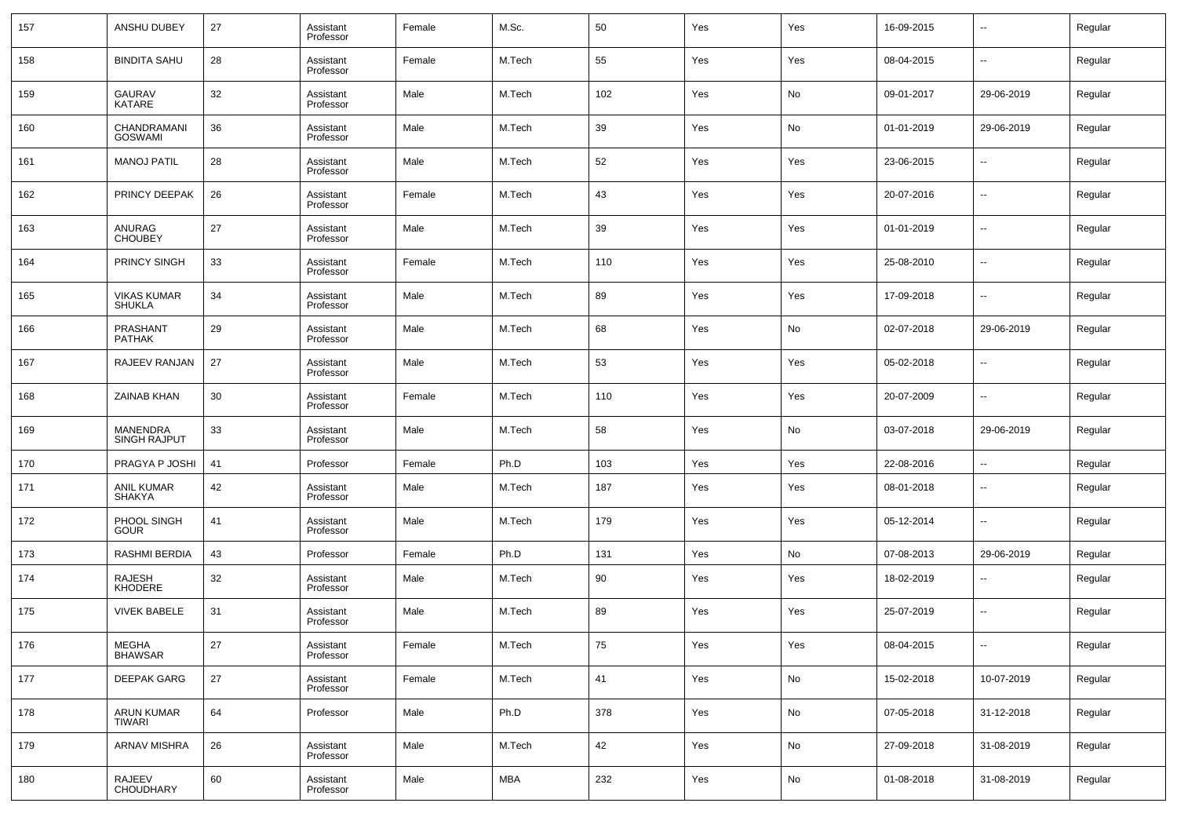| 157 | <b>ANSHU DUBEY</b>                     | 27 | Assistant<br>Professor | Female | M.Sc.      | 50  | Yes | Yes | 16-09-2015 | --                       | Regular |
|-----|----------------------------------------|----|------------------------|--------|------------|-----|-----|-----|------------|--------------------------|---------|
| 158 | <b>BINDITA SAHU</b>                    | 28 | Assistant<br>Professor | Female | M.Tech     | 55  | Yes | Yes | 08-04-2015 | $\overline{\phantom{a}}$ | Regular |
| 159 | <b>GAURAV</b><br><b>KATARE</b>         | 32 | Assistant<br>Professor | Male   | M.Tech     | 102 | Yes | No  | 09-01-2017 | 29-06-2019               | Regular |
| 160 | CHANDRAMANI<br><b>GOSWAMI</b>          | 36 | Assistant<br>Professor | Male   | M.Tech     | 39  | Yes | No  | 01-01-2019 | 29-06-2019               | Regular |
| 161 | <b>MANOJ PATIL</b>                     | 28 | Assistant<br>Professor | Male   | M.Tech     | 52  | Yes | Yes | 23-06-2015 | --                       | Regular |
| 162 | PRINCY DEEPAK                          | 26 | Assistant<br>Professor | Female | M.Tech     | 43  | Yes | Yes | 20-07-2016 | --                       | Regular |
| 163 | ANURAG<br><b>CHOUBEY</b>               | 27 | Assistant<br>Professor | Male   | M.Tech     | 39  | Yes | Yes | 01-01-2019 | --                       | Regular |
| 164 | PRINCY SINGH                           | 33 | Assistant<br>Professor | Female | M.Tech     | 110 | Yes | Yes | 25-08-2010 | $\overline{\phantom{a}}$ | Regular |
| 165 | <b>VIKAS KUMAR</b><br><b>SHUKLA</b>    | 34 | Assistant<br>Professor | Male   | M.Tech     | 89  | Yes | Yes | 17-09-2018 | --                       | Regular |
| 166 | <b>PRASHANT</b><br><b>PATHAK</b>       | 29 | Assistant<br>Professor | Male   | M.Tech     | 68  | Yes | No  | 02-07-2018 | 29-06-2019               | Regular |
| 167 | RAJEEV RANJAN                          | 27 | Assistant<br>Professor | Male   | M.Tech     | 53  | Yes | Yes | 05-02-2018 | $\overline{\phantom{a}}$ | Regular |
| 168 | ZAINAB KHAN                            | 30 | Assistant<br>Professor | Female | M.Tech     | 110 | Yes | Yes | 20-07-2009 | --                       | Regular |
| 169 | <b>MANENDRA</b><br><b>SINGH RAJPUT</b> | 33 | Assistant<br>Professor | Male   | M.Tech     | 58  | Yes | No  | 03-07-2018 | 29-06-2019               | Regular |
| 170 | PRAGYA P JOSHI                         | 41 | Professor              | Female | Ph.D       | 103 | Yes | Yes | 22-08-2016 | --                       | Regular |
| 171 | <b>ANIL KUMAR</b><br><b>SHAKYA</b>     | 42 | Assistant<br>Professor | Male   | M.Tech     | 187 | Yes | Yes | 08-01-2018 | $\overline{\phantom{a}}$ | Regular |
| 172 | PHOOL SINGH<br><b>GOUR</b>             | 41 | Assistant<br>Professor | Male   | M.Tech     | 179 | Yes | Yes | 05-12-2014 | $\overline{\phantom{a}}$ | Regular |
| 173 | RASHMI BERDIA                          | 43 | Professor              | Female | Ph.D       | 131 | Yes | No  | 07-08-2013 | 29-06-2019               | Regular |
| 174 | <b>RAJESH</b><br>KHODERE               | 32 | Assistant<br>Professor | Male   | M.Tech     | 90  | Yes | Yes | 18-02-2019 | $\overline{\phantom{a}}$ | Regular |
| 175 | <b>VIVEK BABELE</b>                    | 31 | Assistant<br>Professor | Male   | M.Tech     | 89  | Yes | Yes | 25-07-2019 | $\overline{\phantom{a}}$ | Regular |
| 176 | MEGHA<br><b>BHAWSAR</b>                | 27 | Assistant<br>Professor | Female | M.Tech     | 75  | Yes | Yes | 08-04-2015 | $\overline{\phantom{a}}$ | Regular |
| 177 | <b>DEEPAK GARG</b>                     | 27 | Assistant<br>Professor | Female | M.Tech     | 41  | Yes | No  | 15-02-2018 | 10-07-2019               | Regular |
| 178 | <b>ARUN KUMAR</b><br><b>TIWARI</b>     | 64 | Professor              | Male   | Ph.D       | 378 | Yes | No  | 07-05-2018 | 31-12-2018               | Regular |
| 179 | <b>ARNAV MISHRA</b>                    | 26 | Assistant<br>Professor | Male   | M.Tech     | 42  | Yes | No  | 27-09-2018 | 31-08-2019               | Regular |
| 180 | RAJEEV<br>CHOUDHARY                    | 60 | Assistant<br>Professor | Male   | <b>MBA</b> | 232 | Yes | No  | 01-08-2018 | 31-08-2019               | Regular |